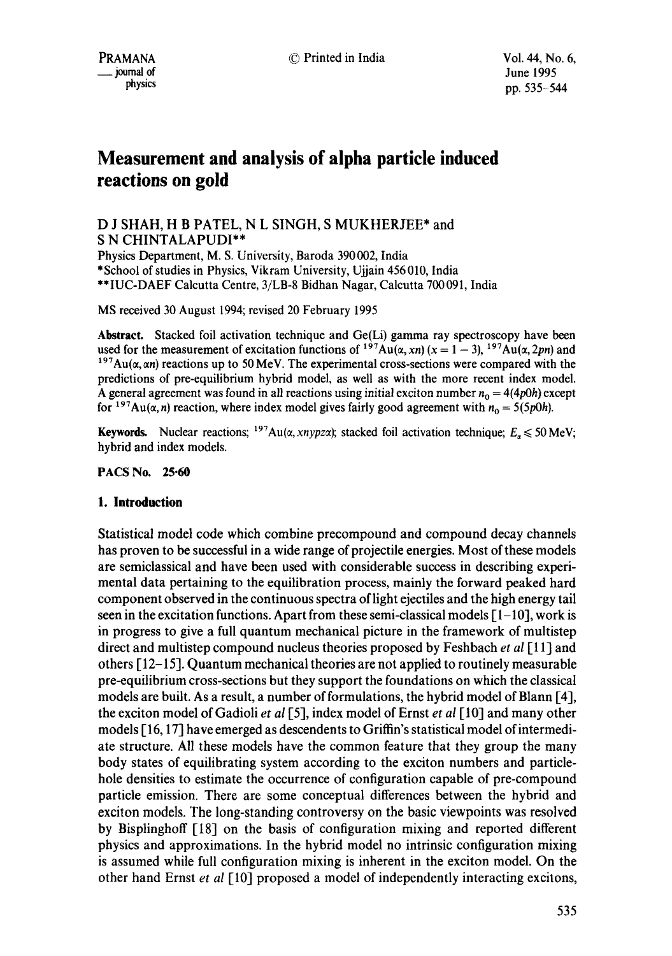# **Measurement and analysis of alpha particle induced reactions on gold**

# D J SHAH, H B PATEL, N L SINGH, S MUKHERJEE\* and S N CHINTALAPUDI\*\*

Physics Department, M. S. University, Baroda 390002, India \*School of studies in Physics, Vikram University, Ujjain 456010, India \*\*IUC-DAEF Calcutta Centre, 3/LB-8 Bidhan Nagar, Calcutta 700091, India

MS received 30 August 1994; revised 20 February 1995

**Abstract.** Stacked foil activation technique and Ge(Li) gamma ray spectroscopy have been used for the measurement of excitation functions of  $197\text{Au}(\alpha, xn)$  ( $x = 1 - 3$ ),  $197\text{Au}(\alpha, 2pn)$  and  $197Au(x, \alpha n)$  reactions up to 50 MeV. The experimental cross-sections were compared with the predictions of pre-equilibrium hybrid model, as well as with the more recent index model. A general agreement was found in all reactions using initial exciton number  $n_0 = 4(4p0h)$  except for <sup>197</sup>Au( $\alpha$ , *n*) reaction, where index model gives fairly good agreement with  $n_0 = 5(5p0h)$ .

Keywords. Nuclear reactions;  $197Au(\alpha, xnypz\alpha)$ ; stacked foil activation technique;  $E_{\alpha} \le 50 MeV$ ; hybrid and index models.

#### **PACS No. 25.60**

### **1. Introduction**

Statistical model code which combine precompound and compound decay channels has proven to be successful in a wide range of projectile energies. Most of these models are semiclassical and have been used with considerable success in describing experimental data pertaining to the equilibration process, mainly the forward peaked hard component observed in the continuous spectra of light ejectiles and the high energy tail seen in the excitation functions. Apart from these semi-classical models  $[1-10]$ , work is in progress to give a full quantum mechanical picture in the framework of multistep direct and multistep compound nucleus theories proposed by Feshbach *et al[* 11] and others [ 12-15]. Quantum mechanical theories are not applied to routinely measurable pre-equilibrium cross-sections but they support the foundations on which the classical models are built. As a result, a number of formulations, the hybrid model of Blann [4], the exciton model of Gadioli *et al* [5], index model of Ernst *et al* [10] and many other models  $[16, 17]$  have emerged as descendents to Griffin's statistical model of intermediate structure. All these models have the common feature that they group the many body states of equilibrating system according to the exciton numbers and particlehole densities to estimate the occurrence of configuration capable of pre-compound particle emission. There are some conceptual differences between the hybrid and exciton models. The long-standing controversy on the basic viewpoints was resolved by Bisplinghoff [18] on the basis of configuration mixing and reported different physics and approximations. In the hybrid model no intrinsic configuration mixing is assumed while full configuration mixing is inherent in the exciton model. On the other hand Ernst *et al* [113] proposed a model of independently interacting excitons,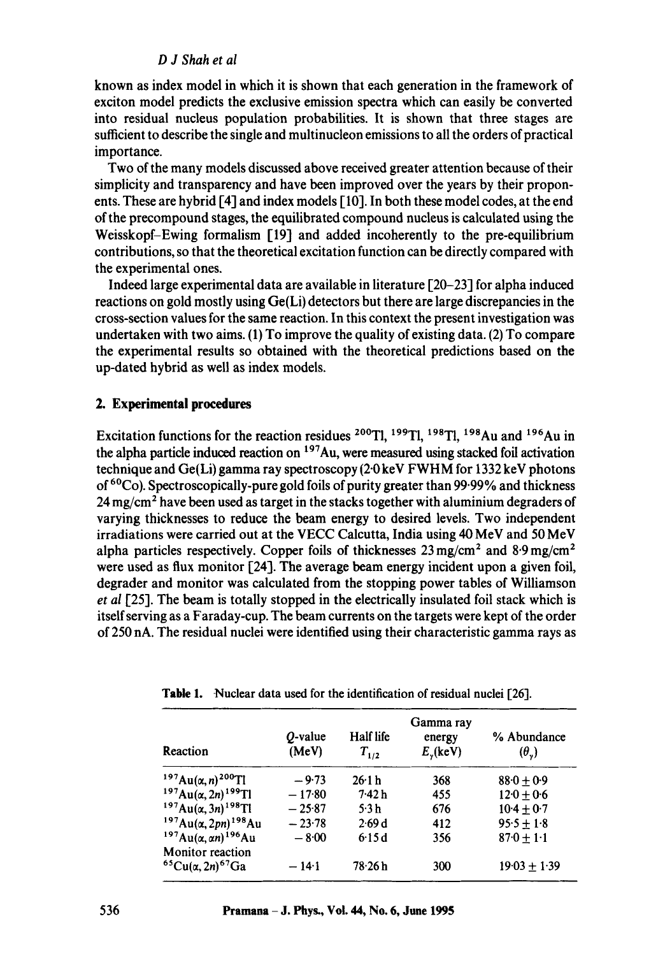### *D J Shah et al*

known as index model in which it is shown that each generation in the framework of exciton model predicts the exclusive emission spectra which can easily be converted into residual nucleus population probabilities. It is shown that three stages are sufficient to describe the single and multinucleon emissions to all the orders of practical importance.

Two of the many models discussed above received greater attention because of their simplicity and transparency and have been improved over the years by their proponents. These are hybrid [4] and index models [ 10]. In both these model codes, at the end of the precompound stages, the equilibrated compound nucleus is calculated using the Weisskopf-Ewing formalism [19] and added incoherently to the pre-equilibrium contributions, so that the theoretical excitation function can be directly compared with the experimental ones.

Indeed large experimental data are available in literature 120-23] for alpha induced reactions on gold mostly using Ge(Li) detectors but there are large discrepancies in the cross-section values for the same reaction. In this context the present investigation was undertaken with two aims. (1) To improve the quality of existing data. (2) To compare the experimental results so obtained with the theoretical predictions based on the up-dated hybrid as well as index models.

### **2. Experimental procedures**

Excitation functions for the reaction residues <sup>200</sup>Tl, <sup>199</sup>Tl, <sup>198</sup>Tl, <sup>198</sup>Au and <sup>196</sup>Au in the alpha particle induced reaction on  $197$ Au, were measured using stacked foil activation technique and Ge(Li) gamma ray spectroscopy (2-0 keV FWHM for 1332 keV photons of 6°Co). Spectroscopically-pure gold foils of purity greater than 99.99% and thickness  $24 \,\mathrm{mg/cm^2}$  have been used as target in the stacks together with aluminium degraders of varying thicknesses to reduce the beam energy to desired levels. Two independent irradiations were carried out at the VECC Calcutta, India using 40 MeV and 50 MeV alpha particles respectively. Copper foils of thicknesses  $23 \text{ mg/cm}^2$  and  $8.9 \text{ mg/cm}^2$ were used as flux monitor [24]. The average beam energy incident upon a given foil, degrader and monitor was calculated from the stopping power tables of Williamson *et al* 125]. The beam is totally stopped in the electrically insulated foil stack which is itself serving as a Faraday-cup. The beam currents on the targets were kept of the order of 250 nA. The residual nuclei were identified using their characteristic gamma rays as

| Reaction                                              | $Q$ -value<br>(MeV) | Half life<br>$T_{1/2}$ | Gamma ray<br>energy<br>$E_{y}$ (keV) | % Abundance<br>$(\theta_{\nu})$ |
|-------------------------------------------------------|---------------------|------------------------|--------------------------------------|---------------------------------|
| $197Au(\alpha, n)^{200}$ Tl                           | $-9.73$             | 26.1 h                 | 368                                  | $88.0 + 0.9$                    |
| $197Au(\alpha, 2n)$ <sup>199</sup> Tl                 | $-17.80$            | 7.42h                  | 455                                  | $12.0 + 0.6$                    |
| $197Au(\alpha,3n)^{198}$ Tl                           | $-25.87$            | 5.3h                   | 676                                  | $10-4 + 0-7$                    |
| $197Au(\alpha,2pn)^{198}Au$                           | $-23.78$            | 2.69d                  | 412                                  | $95.5 + 1.8$                    |
| $197Au(\alpha, \alpha n)^{196}Au$                     | $-8.00$             | 6:15d                  | 356                                  | $87.0 + 1.1$                    |
| <b>Monitor</b> reaction<br>${}^{65}Cu(a,2n){}^{67}Ga$ | $-14.1$             | 78.26 h                | 300                                  | $19.03 + 1.39$                  |

**Table** 1. Nuclear data used for the identification of residual nuclei [26].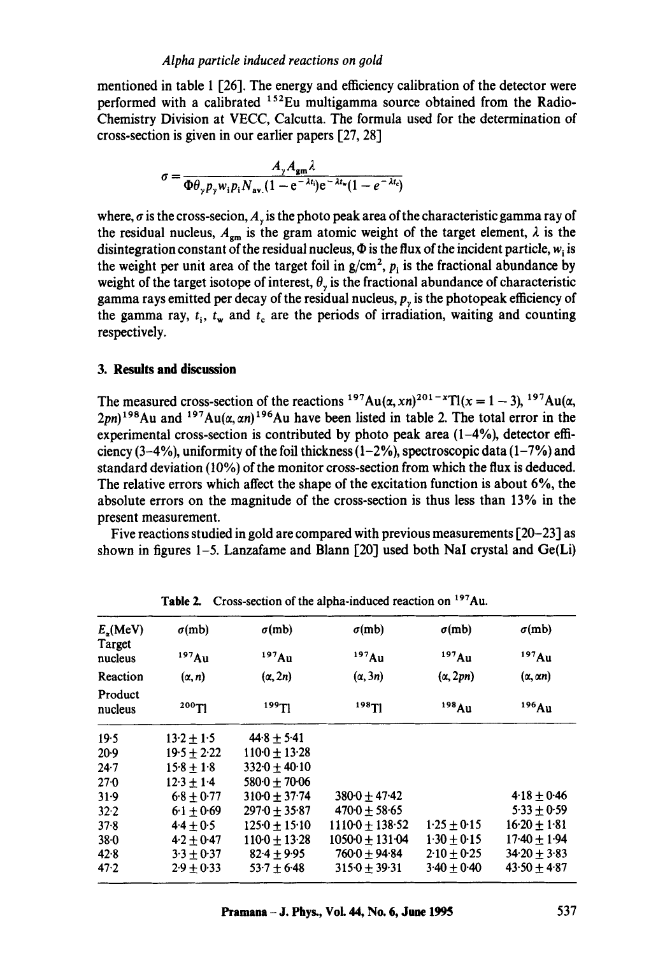mentioned in table 1 [26]. The energy and efficiency calibration of the detector were performed with a calibrated  $^{152}$ Eu multigamma source obtained from the Radio-Chemistry Division at VECC, Calcutta. The formula used for the determination of cross-section is given in our earlier papers [27, 28]

$$
\sigma = \frac{A_{\gamma}A_{\rm gm}\lambda}{\Phi\theta_{\gamma}p_{\gamma}w_{i}p_{i}N_{\rm av}(1-e^{-\lambda t_{i}})e^{-\lambda t_{\rm w}}(1-e^{-\lambda t_{c}})}
$$

where,  $\sigma$  is the cross-secion,  $A_{\nu}$  is the photo peak area of the characteristic gamma ray of the residual nucleus,  $A_{\rm gm}$  is the gram atomic weight of the target element,  $\lambda$  is the disintegration constant of the residual nucleus,  $\Phi$  is the flux of the incident particle,  $w_i$  is the weight per unit area of the target foil in  $g/cm^2$ ,  $p_i$  is the fractional abundance by weight of the target isotope of interest,  $\theta_{y}$  is the fractional abundance of characteristic gamma rays emitted per decay of the residual nucleus,  $p<sub>v</sub>$  is the photopeak efficiency of the gamma ray,  $t_i$ ,  $t_w$  and  $t_c$  are the periods of irradiation, waiting and counting respectively.

#### **3. Results and discussion**

The measured cross-section of the reactions  $197Au(\alpha, xn)^{201-x}T1(x = 1-3), 197Au(\alpha,$  $2pn$ <sup>198</sup>Au and <sup>197</sup>Au( $\alpha$ ,  $\alpha$ n)<sup>196</sup>Au have been listed in table 2. The total error in the experimental cross-section is contributed by photo peak area  $(1-4\%)$ , detector efficiency  $(3-4\%)$ , uniformity of the foil thickness  $(1-2\%)$ , spectroscopic data  $(1-7\%)$  and standard deviation (10%) of the monitor cross-section from which the flux is deduced. The relative errors which affect the shape of the excitation function is about 6%, the absolute errors on the magnitude of the cross-section is thus less than 13% in the present measurement.

Five reactions studied in gold are compared with previous measurements [20-23] as shown in figures  $1-5$ . Lanzafame and Blann  $\lceil 20 \rceil$  used both NaI crystal and Ge(Li)

| $E_{\rm R}$ (MeV)<br>Target | $\sigma$ (mb)   | $\sigma(mb)$                | $\sigma$ (mb)                 | $\sigma$ (mb)   | $\sigma$ (mb)        |  |  |  |
|-----------------------------|-----------------|-----------------------------|-------------------------------|-----------------|----------------------|--|--|--|
| nucleus                     | 197Au           | 197Au                       | 197Au                         | 197Au           | 197Au                |  |  |  |
| Reaction                    | $(\alpha, n)$   | $(\alpha, 2n)$              | $(\alpha, 3n)$                | $(\alpha, 2pn)$ | $(\alpha, \alpha n)$ |  |  |  |
| Product<br>nucleus          | 199T1<br>200T1  |                             | $198$ Tl                      | 198Au           | 196Au                |  |  |  |
| 19.5                        | $13.2 \pm 1.5$  | $44.8 + 5.41$               |                               |                 |                      |  |  |  |
| $20-9$                      | $19.5 \pm 2.22$ | $110 \cdot 0 + 13 \cdot 28$ |                               |                 |                      |  |  |  |
| $24 - 7$                    | $15.8 \pm 1.8$  | $332.0 + 40.10$             |                               |                 |                      |  |  |  |
| $27 - 0$                    | $12.3 + 1.4$    | $580-0 + 70-06$             |                               |                 |                      |  |  |  |
| 31.9                        | $6.8 \pm 0.77$  | $3100 \pm 37.74$            | $3800 + 4742$                 |                 | $4.18 + 0.46$        |  |  |  |
| 32.2                        | $6.1 \pm 0.69$  | $2970 + 3587$               | $470.0 \pm 58.65$             |                 | $5.33 + 0.59$        |  |  |  |
| 37.8                        | $4.4 + 0.5$     | $1250 \pm 15.10$            | $11100 + 138.52$              | $1.25 + 0.15$   | $16.20 + 1.81$       |  |  |  |
| $38 - 0$                    | $4.2 + 0.47$    | $110 \cdot 0 + 13 \cdot 28$ | $1050 \cdot 0 + 131 \cdot 04$ | $1.30 + 0.15$   | $17-40 + 1-94$       |  |  |  |
| 42.8                        | $3.3 + 0.37$    | $82.4 \pm 9.95$             | $760 \cdot 0 + 94 \cdot 84$   | $2.10 \pm 0.25$ | $34.20 + 3.83$       |  |  |  |
| 47.2                        | $2.9 + 0.33$    | $53.7 \pm 6.48$             | $315.0 + 39.31$               | $3.40 + 0.40$   | $43.50 + 4.87$       |  |  |  |

**Table 2.** Cross-section of the alpha-induced reaction on <sup>197</sup>Au.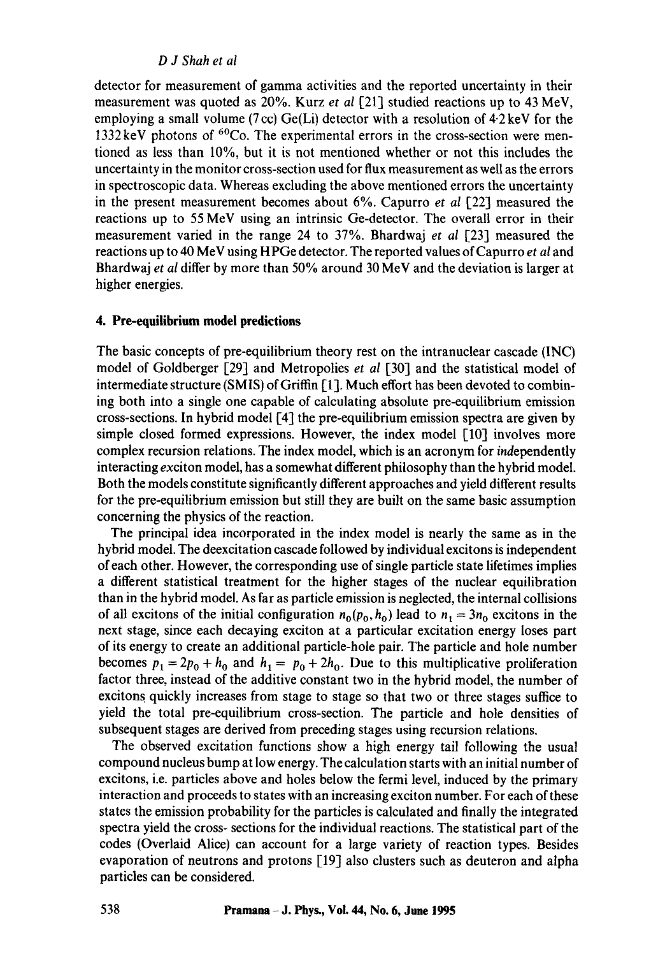### *D J Shah et al*

detector for measurement of gamma activities and the reported uncertainty in their measurement was quoted as 20%. Kurz *et al* [21] studied reactions up to 43 MeV, employing a small volume (7 cc)  $Ge(Li)$  detector with a resolution of  $4.2 \text{ keV}$  for the 1332 keV photons of 6°Co. The experimental errors in the cross-section were mentioned as less than 10%, but it is not mentioned whether or not this includes the uncertainty in the monitor cross-section used for flux measurement as well as the errors in spectroscopic data. Whereas excluding the above mentioned errors the uncertainty in the present measurement becomes about 6%. Capurro *et al* [22] measured the reactions up to 55 MeV using an intrinsic Ge-detector. The overall error in their measurement varied in the range 24 to 37%. Bhardwaj *et al* [23] measured the reactions up to 40 MeV using HPGe detector. The reported values of Capurro *et al* and Bhardwaj *et al* differ by more than 50% around 30 MeV and the deviation is larger at higher energies.

### **4. Pre-equilibrium model predictions**

The basic concepts of pre-equilibrium theory rest on the intranuclear cascade (INC) model of Goldberger [29] and Metropolies *et al* [30] and the statistical model of intermediate structure (SMIS) of Griffin [1]. Much effort has been devoted to combining both into a single one capable of calculating absolute pre-equilibrium emission cross-sections. In hybrid model [4] the pre-equilibrium emission spectra are given by simple closed formed expressions. However, the index model [10] involves more complex recursion relations. The index model, which is an acronym for independently interacting exciton model, has a somewhat different philosophy than the hybrid model. Both the models constitute significantly different approaches and yield different results for the pre-equilibrium emission but still they are built on the same basic assumption concerning the physics of the reaction.

The principal idea incorporated in the index model is nearly the same as in the hybrid model. The deexcitation cascade followed by individual excitons is independent of each other. However, the corresponding use of single particle state lifetimes implies a different statistical treatment for the higher stages of the nuclear equilibration than in the hybrid model. As far as particle emission is neglected, the internal collisions of all excitons of the initial configuration  $n_0(p_0, h_0)$  lead to  $n_1 = 3n_0$  excitons in the next stage, since each decaying exciton at a particular excitation energy loses part of its energy to create an additional particle-hole pair. The particle and hole number becomes  $p_1 = 2p_0 + h_0$  and  $h_1 = p_0 + 2h_0$ . Due to this multiplicative proliferation factor three, instead of the additive constant two in the hybrid model, the number of excitons quickly increases from stage to stage so that two or three stages suffice to yield the total pre-equilibrium cross-section. The particle and hole densities of subsequent stages are derived from preceding stages using recursion relations.

The observed excitation functions show a high energy tail following the usual compound nucleus bump at low energy. The calculation starts with an initial number of excitons, i.e. particles above and holes below the fermi level, induced by the primary interaction and proceeds to states with an increasing exciton number. For each of these states the emission probability for the particles is calculated and finally the integrated spectra yield the cross- sections for the individual reactions. The statistical part of the **codes** (Overlaid Alice) can account for a large variety of reaction types. Besides evaporation of neutrons and protons [19] also dusters such as deuteron and alpha particles can be considered.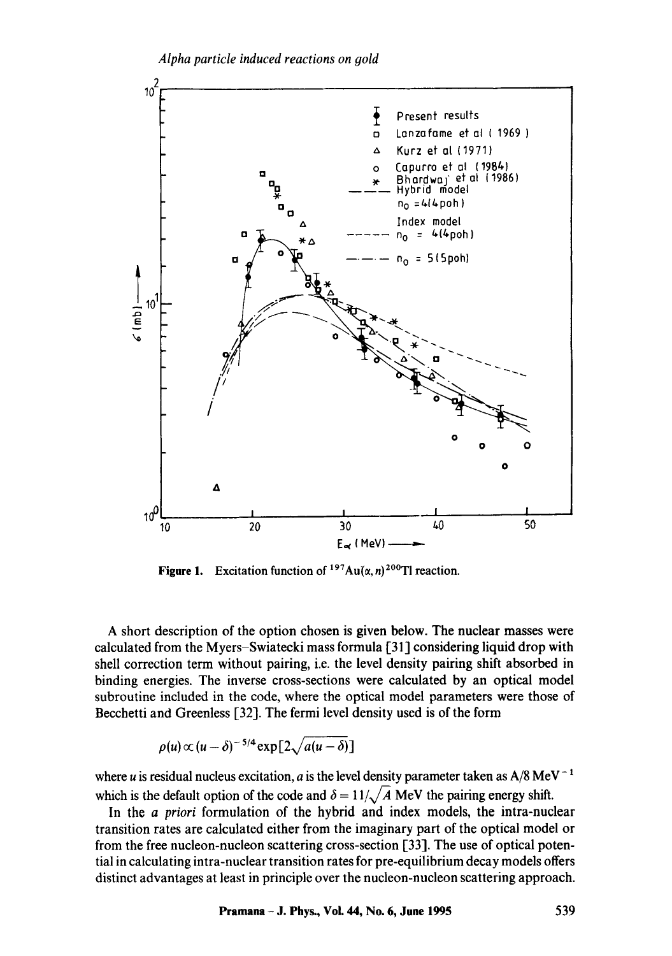

**Figure 1.** Excitation function of  $197Au(\alpha, n)^{200}$ Tl reaction.

A short description of the option chosen is given below. The nuclear masses were calculated from the Myers-Swiatecki mass formula [31] considering liquid drop with shell correction term without pairing, i.e. the level density pairing shift absorbed in binding energies. The inverse cross-sections were calculated by an optical model subroutine included in the code, where the optical model parameters were those of Becchetti and Greenless [32]. The fermi level density used is of the form

$$
\rho(u) \propto (u-\delta)^{-5/4} \exp[2\sqrt{a(u-\delta)}]
$$

where u is residual nucleus excitation, a is the level density parameter taken as  $A/8 \text{ MeV}^{-1}$ which is the default option of the code and  $\delta = 11/\sqrt{A}$  MeV the pairing energy shift.

In the *a priori* formulation of the hybrid and index models, the intra-nuclear transition rates are calculated either from the imaginary part of the optical model or from the free nucleon-nucleon scattering cross-section [33]. The use of optical potential in calculating intra-nuclear transition rates for pre-equilibrium decay models offers distinct advantages at least in principle over the nucleon-nucleon scattering approach.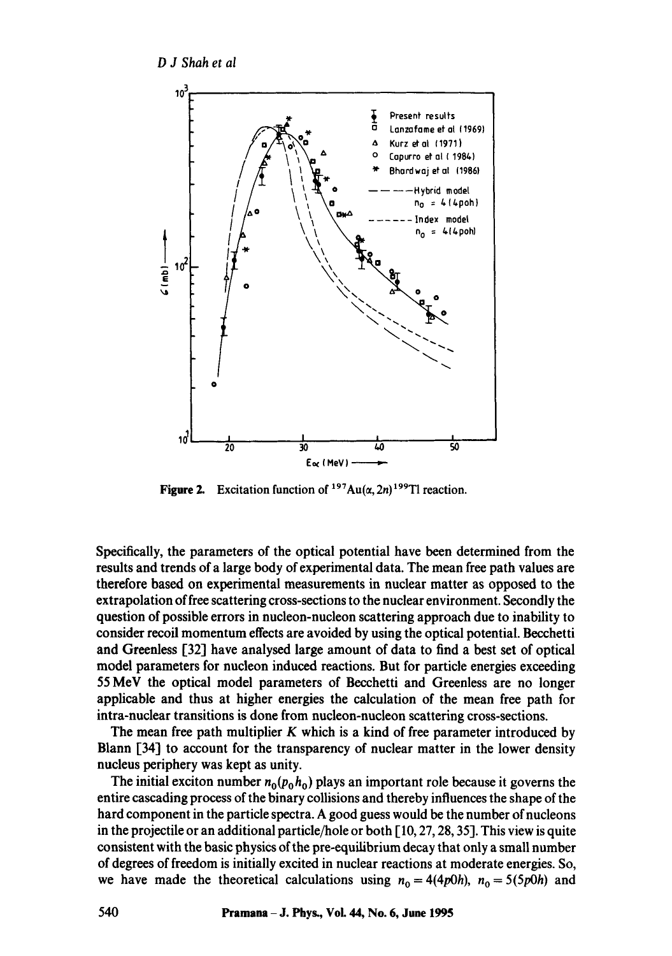

**Figure 2.** Excitation function of  $197Au(\alpha, 2n)$   $199T1$  reaction.

Specifically, the parameters of the optical potential have been determined from the results and trends of a large body of experimental data. The mean free path values are therefore based on experimental measurements in nuclear matter as opposed to the extrapolation of free scattering cross-sections to the nuclear environment. Secondly the question of possible errors in nucleon-nucleon scattering approach due to inability to consider recoil momentum effects are avoided by using the optical potential. Becchetti and Greenless [32] have analysed large amount of data to find a best set of optical model parameters for nucleon induced reactions. But for particle energies exceeding 55 MeV the optical model parameters of Becchetti and Greenless are no longer applicable and thus at higher energies the calculation of the mean free path for intra-nuclear transitions is done from nucleon-nucleon scattering cross-sections.

The mean free path multiplier  $K$  which is a kind of free parameter introduced by Blann [34] to account for the transparency of nuclear matter in the lower density nucleus periphery was kept as unity.

The initial exciton number  $n_0(p_0, h_0)$  plays an important role because it governs the entire cascading process of the binary collisions and thereby influences the shape of the hard component in the particle spectra. A good guess would be the number of nucleons in the projectile or an additional particle/hole or both [10, 27, 28, 35]. This view is quite consistent with the basic physics of the pre-equilibrium decay that only a small number of degrees of freedom is initially excited in nuclear reactions at moderate energies. So, we have made the theoretical calculations using  $n_0 = 4(4p0h)$ ,  $n_0 = 5(5p0h)$  and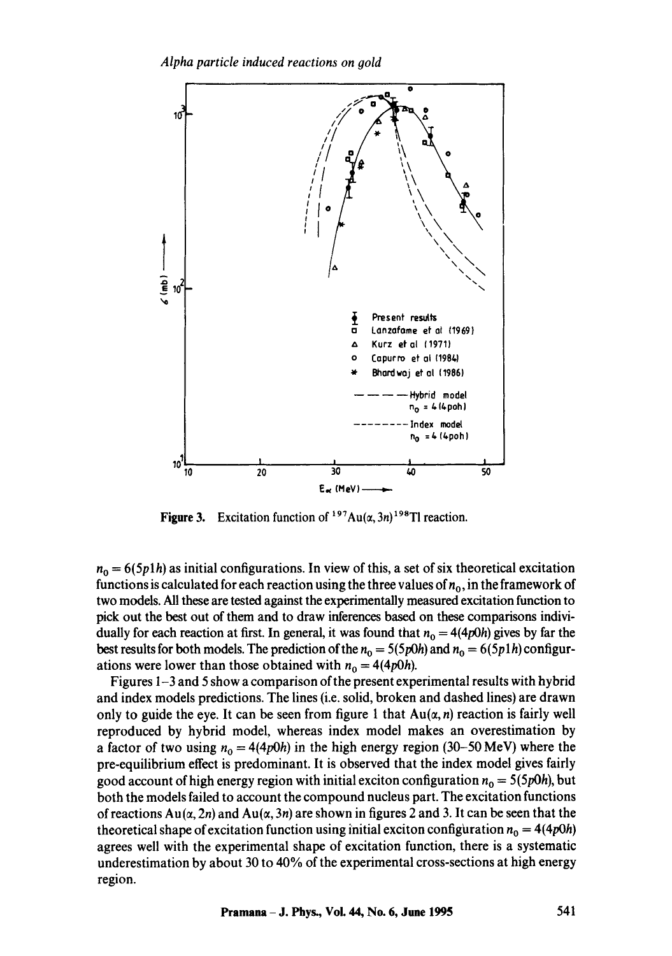*Alpha particle induced reactions on gold* 



**Figure 3.** Excitation function of  $197Au(\alpha, 3n)$  198TI reaction.

 $n_0 = 6(5p1h)$  as initial configurations. In view of this, a set of six theoretical excitation functions is calculated for each reaction using the three values of  $n_0$ , in the framework of two models. All these are tested against the experimentally measured excitation function to pick out the best out of them and to draw inferences based on these comparisons individually for each reaction at first. In general, it was found that  $n_0 = 4(4p0h)$  gives by far the best results for both models. The prediction of the  $n_0 = 5(5p0h)$  and  $n_0 = 6(5p1h)$  configurations were lower than those obtained with  $n_0 = 4(4p0h)$ .

Figures 1-3 and 5 show a comparison of the present experimental results with hybrid and index models predictions. The lines (i.e. solid, broken and dashed lines) are drawn only to guide the eye. It can be seen from figure 1 that  $Au(\alpha, n)$  reaction is fairly well reproduced by hybrid model, whereas index model makes an overestimation by a factor of two using  $n_0 = 4(4p0h)$  in the high energy region (30–50 MeV) where the pre-equilibrium effect is predominant. It is observed that the index model gives fairly good account of high energy region with initial exciton configuration  $n_0 = 5(5p0h)$ , but both the models failed to account the compound nucleus part. The excitation functions of reactions  $Au(\alpha, 2n)$  and  $Au(\alpha, 3n)$  are shown in figures 2 and 3. It can be seen that the theoretical shape of excitation function using initial exciton configuration  $n_0 = 4(4p0h)$ agrees well with the experimental shape of excitation function, there is a systematic underestimation by about 30 to 40% of the experimental cross-sections at high energy region.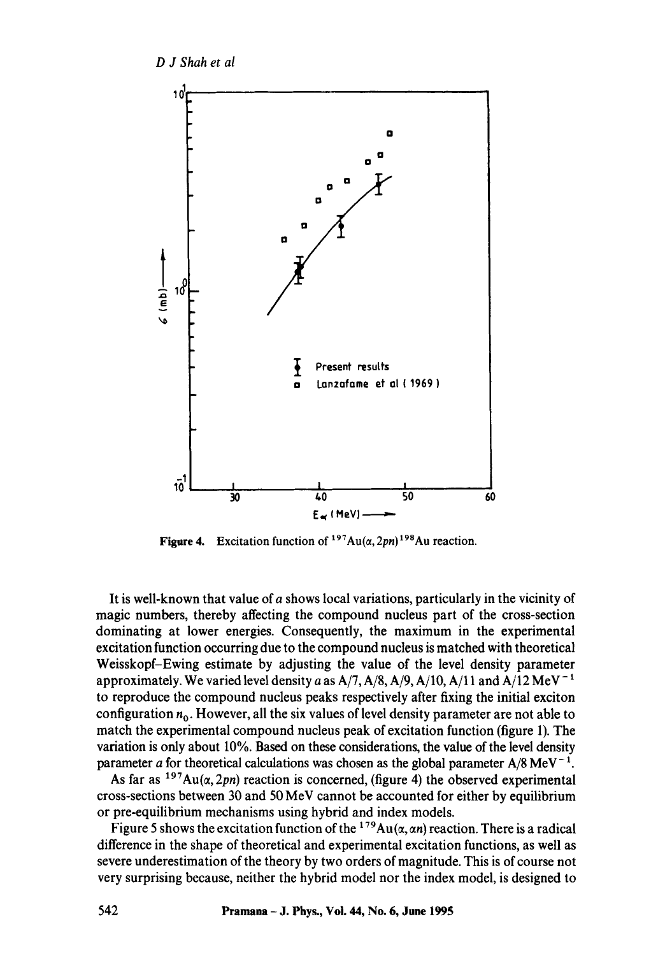

**Figure 4.** Excitation function of  $197Au(\alpha, 2pn)^{198}Au$  reaction.

It is well-known that value of a shows local variations, particularly in the vicinity of magic numbers, thereby affecting the compound nucleus part of the cross-section dominating at lower energies. Consequently, the maximum in the experimental excitation function occurring due to the compound nucleus is matched with theoretical Weisskopf-Ewing estimate by adjusting the value of the level density parameter approximately. We varied level density a as  $A/7$ ,  $A/8$ ,  $A/9$ ,  $A/10$ ,  $A/11$  and  $A/12$  MeV<sup>-1</sup> to reproduce the compound nucleus peaks respectively after fixing the initial exciton configuration  $n_0$ . However, all the six values of level density parameter are not able to match the experimental compound nucleus peak of excitation function (figure 1). The variation is only about 10%. Based on these considerations, the value of the level density parameter a for theoretical calculations was chosen as the global parameter  $A/8$  MeV<sup>-1</sup>.

As far as  $197Au(\alpha, 2pn)$  reaction is concerned, (figure 4) the observed experimental cross-sections between 30 and 50 MeV cannot be accounted for either by equilibrium or pre-equilibrium mechanisms using hybrid and index models.

Figure 5 shows the excitation function of the  $^{179}Au(\alpha, \alpha n)$  reaction. There is a radical difference in the shape of theoretical and experimental excitation functions, as well as severe underestimation of the theory by two orders of magnitude. This is of course not very surprising because, neither the hybrid model nor the index model, is designed to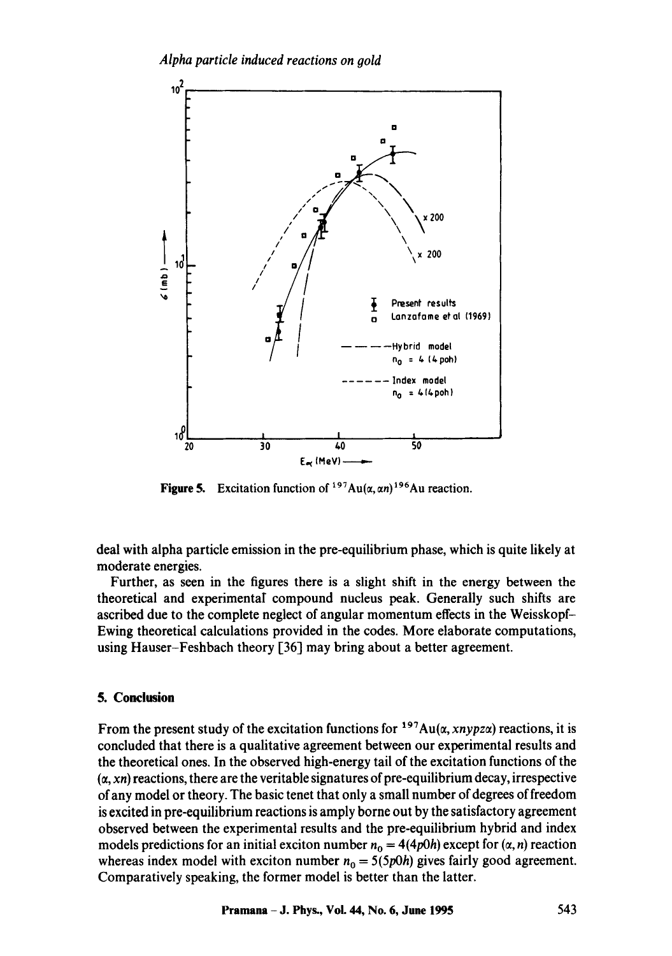

**Figure 5.** Excitation function of  $197Au(\alpha, \alpha n)^{196}Au$  reaction.

deal with alpha particle emission in the pre-equilibrium phase, which is quite likely at moderate energies.

Further, as seen in the figures there is a slight shift in the energy between the theoretical and experimental compound nucleus peak. Generally such shifts are ascribed due to the complete neglect of angular momentum effects in the Weisskopf-Ewing theoretical calculations provided in the codes. More elaborate computations, using Hauser-Feshbach theory [36] may bring about a better agreement.

### **5. Conclusion**

From the present study of the excitation functions for  $197Au(\alpha, xnypz\alpha)$  reactions, it is concluded that there is a qualitative agreement between our experimental results and the theoretical ones. In the observed high-energy tail of the excitation functions of the  $(x, xn)$  reactions, there are the veritable signatures of pre-equilibrium decay, irrespective of any model or theory. The basic tenet that only a small number of degrees of freedom is excited in pre-equilibrium reactions is amply borne out by the satisfactory agreement observed between the experimental results and the pre-equilibrium hybrid and index models predictions for an initial exciton number  $n_0 = 4(4p0h)$  except for  $(\alpha, n)$  reaction whereas index model with exciton number  $n_0 = 5(5p0h)$  gives fairly good agreement. Comparatively speaking, the former model is better than the latter.